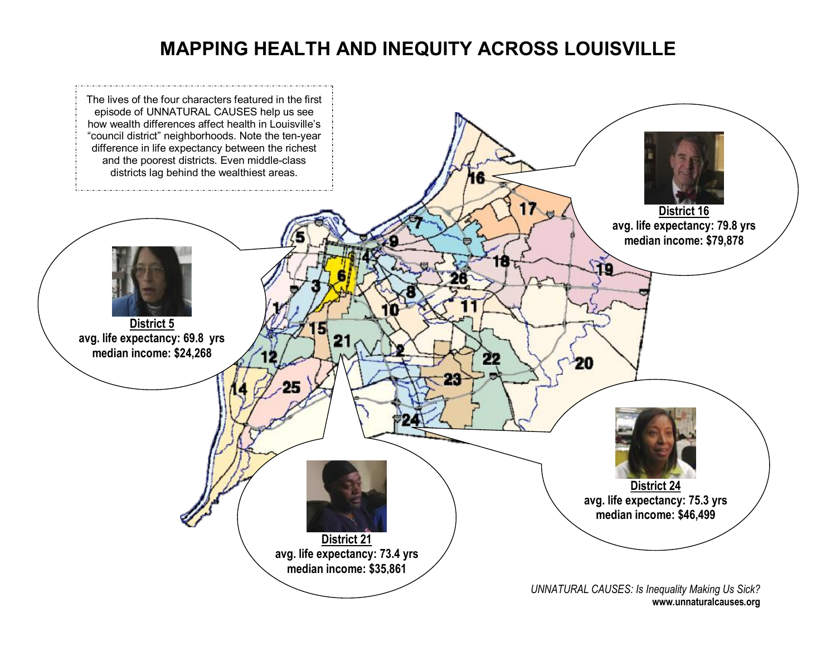## **MAPPING HEALTH AND INEQUITY ACROSS LOUISVILLE**

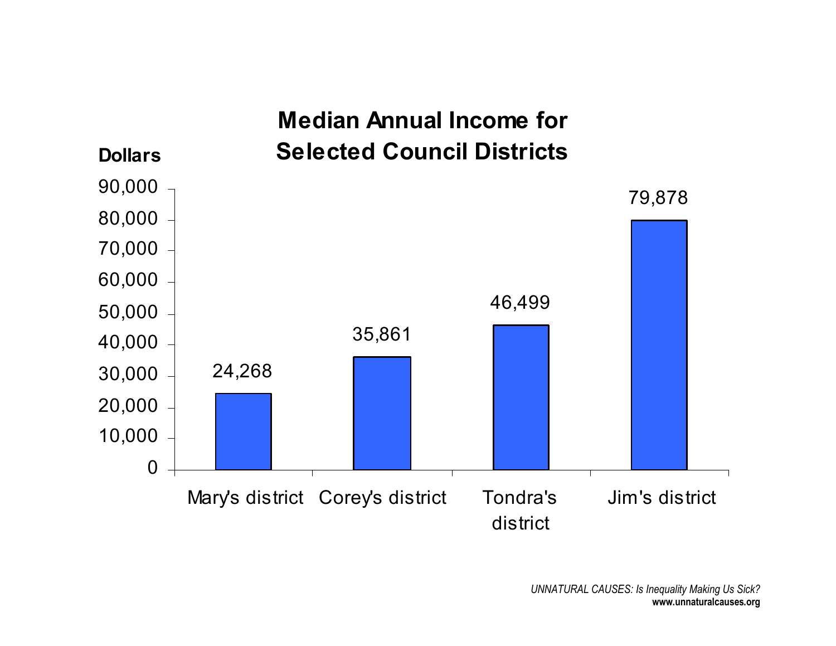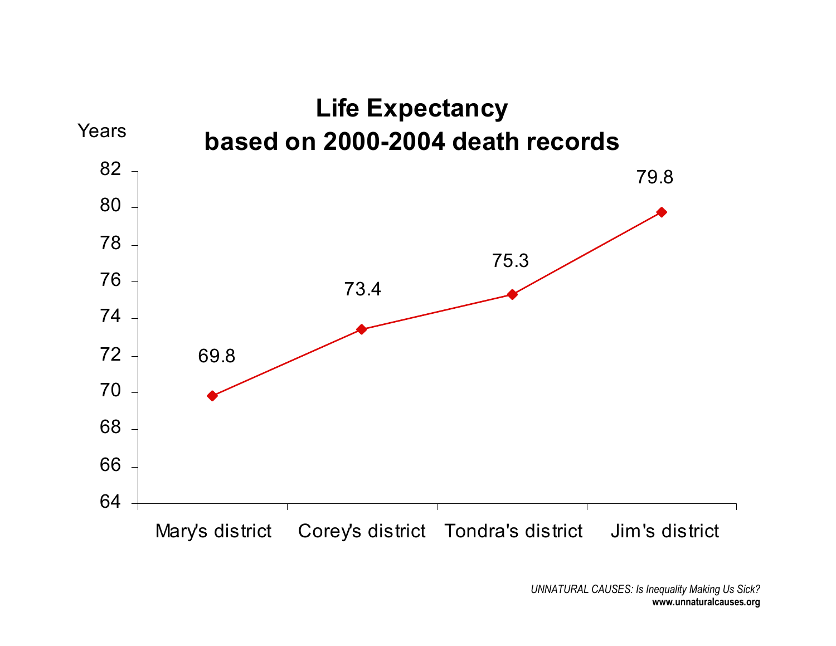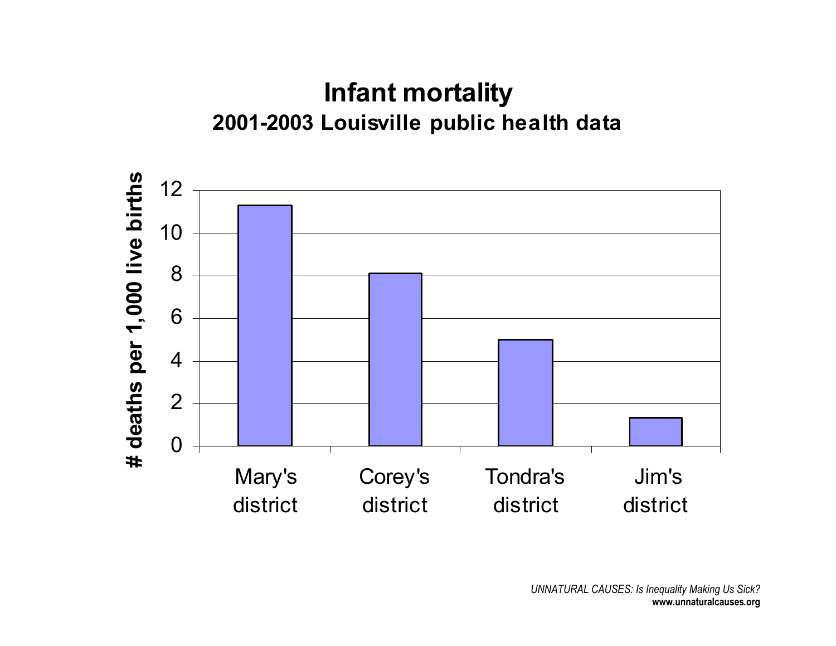## **Infant mortality 20012003 Louisville public health data**

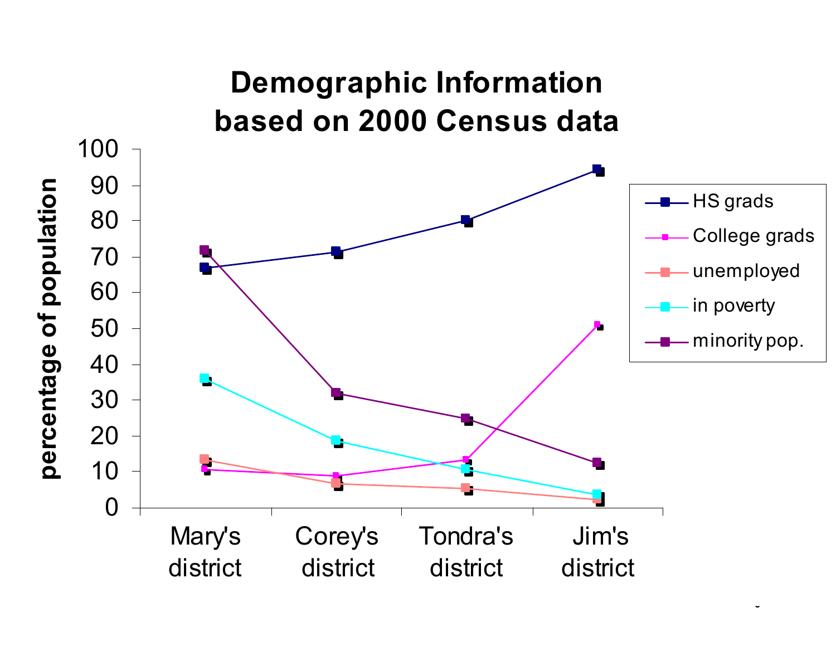